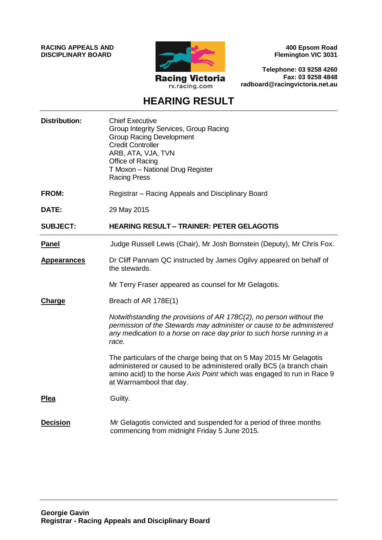**RACING APPEALS AND DISCIPLINARY BOARD**



**400 Epsom Road Flemington VIC 3031**

**Telephone: 03 9258 4260 Fax: 03 9258 4848 radboard@racingvictoria.net.au**

# **HEARING RESULT**

| <b>Distribution:</b> | <b>Chief Executive</b><br>Group Integrity Services, Group Racing<br><b>Group Racing Development</b><br><b>Credit Controller</b><br>ARB, ATA, VJA, TVN<br>Office of Racing<br>T Moxon - National Drug Register<br><b>Racing Press</b>              |
|----------------------|---------------------------------------------------------------------------------------------------------------------------------------------------------------------------------------------------------------------------------------------------|
| <b>FROM:</b>         | Registrar - Racing Appeals and Disciplinary Board                                                                                                                                                                                                 |
| DATE:                | 29 May 2015                                                                                                                                                                                                                                       |
| <b>SUBJECT:</b>      | <b>HEARING RESULT - TRAINER: PETER GELAGOTIS</b>                                                                                                                                                                                                  |
| <b>Panel</b>         | Judge Russell Lewis (Chair), Mr Josh Bornstein (Deputy), Mr Chris Fox.                                                                                                                                                                            |
| <b>Appearances</b>   | Dr Cliff Pannam QC instructed by James Ogilvy appeared on behalf of<br>the stewards.                                                                                                                                                              |
|                      | Mr Terry Fraser appeared as counsel for Mr Gelagotis.                                                                                                                                                                                             |
| Charge               | Breach of AR 178E(1)                                                                                                                                                                                                                              |
|                      | Notwithstanding the provisions of AR 178C(2), no person without the<br>permission of the Stewards may administer or cause to be administered<br>any medication to a horse on race day prior to such horse running in a<br>race.                   |
|                      | The particulars of the charge being that on 5 May 2015 Mr Gelagotis<br>administered or caused to be administered orally BC5 (a branch chain<br>amino acid) to the horse Axis Point which was engaged to run in Race 9<br>at Warrnambool that day. |
| Plea                 | Guilty.                                                                                                                                                                                                                                           |
| <b>Decision</b>      | Mr Gelagotis convicted and suspended for a period of three months<br>commencing from midnight Friday 5 June 2015.                                                                                                                                 |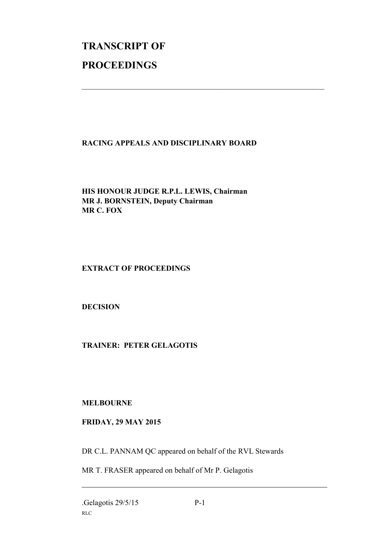# **TRANSCRIPT OF PROCEEDINGS**

# **RACING APPEALS AND DISCIPLINARY BOARD**

 $\_$  , and the set of the set of the set of the set of the set of the set of the set of the set of the set of the set of the set of the set of the set of the set of the set of the set of the set of the set of the set of th

# **HIS HONOUR JUDGE R.P.L. LEWIS, Chairman MR J. BORNSTEIN, Deputy Chairman MR C. FOX**

# **EXTRACT OF PROCEEDINGS**

# **DECISION**

# **TRAINER: PETER GELAGOTIS**

# **MELBOURNE**

# **FRIDAY, 29 MAY 2015**

DR C.L. PANNAM QC appeared on behalf of the RVL Stewards

MR T. FRASER appeared on behalf of Mr P. Gelagotis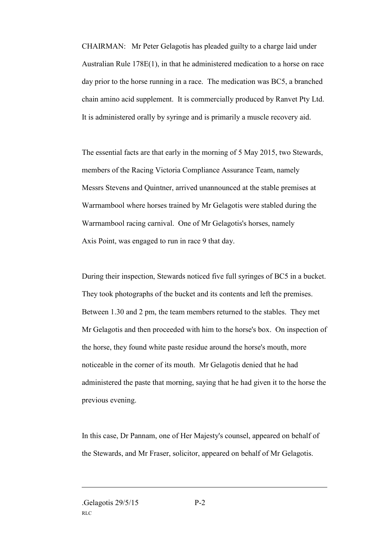CHAIRMAN: Mr Peter Gelagotis has pleaded guilty to a charge laid under Australian Rule 178E(1), in that he administered medication to a horse on race day prior to the horse running in a race. The medication was BC5, a branched chain amino acid supplement. It is commercially produced by Ranvet Pty Ltd. It is administered orally by syringe and is primarily a muscle recovery aid.

The essential facts are that early in the morning of 5 May 2015, two Stewards, members of the Racing Victoria Compliance Assurance Team, namely Messrs Stevens and Quintner, arrived unannounced at the stable premises at Warrnambool where horses trained by Mr Gelagotis were stabled during the Warrnambool racing carnival. One of Mr Gelagotis's horses, namely Axis Point, was engaged to run in race 9 that day.

During their inspection, Stewards noticed five full syringes of BC5 in a bucket. They took photographs of the bucket and its contents and left the premises. Between 1.30 and 2 pm, the team members returned to the stables. They met Mr Gelagotis and then proceeded with him to the horse's box. On inspection of the horse, they found white paste residue around the horse's mouth, more noticeable in the corner of its mouth. Mr Gelagotis denied that he had administered the paste that morning, saying that he had given it to the horse the previous evening.

In this case, Dr Pannam, one of Her Majesty's counsel, appeared on behalf of the Stewards, and Mr Fraser, solicitor, appeared on behalf of Mr Gelagotis.